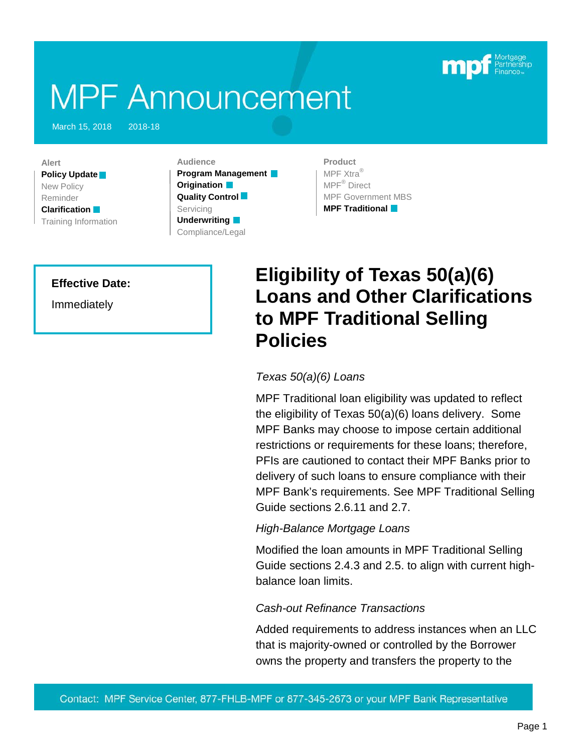

# **MPF Announcement**

March 15, 2018 2018-18

**Alert Policy Update** New Policy Reminder **Clarification** Training Information

**Audience Program Management Origination Quality Control** Servicing **Underwriting** Compliance/Legal

**Product** MPF Xtra® MPF® Direct MPF Government MBS **MPF Traditional**

#### **Effective Date:**

Immediately

## **Eligibility of Texas 50(a)(6) Loans and Other Clarifications to MPF Traditional Selling Policies**

#### *Texas 50(a)(6) Loans*

MPF Traditional loan eligibility was updated to reflect the eligibility of Texas 50(a)(6) loans delivery. Some MPF Banks may choose to impose certain additional restrictions or requirements for these loans; therefore, PFIs are cautioned to contact their MPF Banks prior to delivery of such loans to ensure compliance with their MPF Bank's requirements. See MPF Traditional Selling Guide sections 2.6.11 and 2.7.

#### *High-Balance Mortgage Loans*

Modified the loan amounts in MPF Traditional Selling Guide sections 2.4.3 and 2.5. to align with current highbalance loan limits.

#### *Cash-out Refinance Transactions*

Added requirements to address instances when an LLC that is majority-owned or controlled by the Borrower owns the property and transfers the property to the